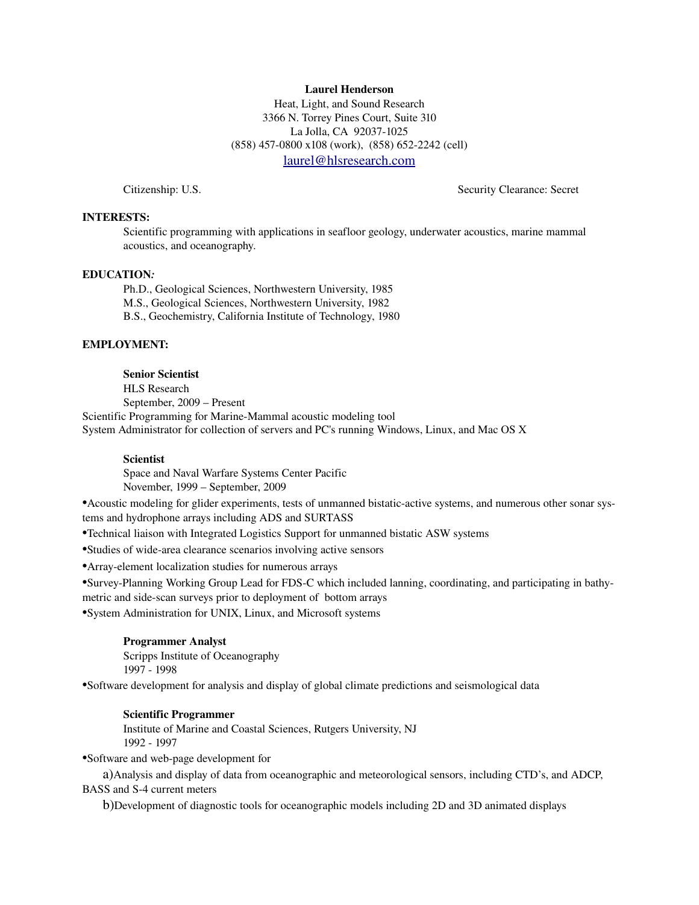### Laurel Henderson

Heat, Light, and Sound Research 3366 N. Torrey Pines Court, Suite 310 La Jolla, CA 92037-1025 (858) 457-0800 x108 (work), (858) 652-2242 (cell) [laurel@hlsresearch.com](mailto:laurel.henderson@navy.mil)

Citizenship: U.S. Security Clearance: Secret

### INTERESTS:

Scientific programming with applications in seafloor geology, underwater acoustics, marine mammal acoustics, and oceanography.

#### EDUCATION*:*

Ph.D., Geological Sciences, Northwestern University, 1985 M.S., Geological Sciences, Northwestern University, 1982 B.S., Geochemistry, California Institute of Technology, 1980

#### EMPLOYMENT:

#### Senior Scientist

HLS Research September, 2009 – Present

Scientific Programming for Marine-Mammal acoustic modeling tool

System Administrator for collection of servers and PC's running Windows, Linux, and Mac OS X

## Scientist

Space and Naval Warfare Systems Center Pacific

November, 1999 – September, 2009

•Acoustic modeling for glider experiments, tests of unmanned bistaticactive systems, and numerous other sonar systems and hydrophone arrays including ADS and SURTASS

•Technical liaison with Integrated Logistics Support for unmanned bistatic ASW systems

• Studies of wide-area clearance scenarios involving active sensors

•Arrayelement localization studies for numerous arrays

•SurveyPlanning Working Group Lead for FDSC which included lanning, coordinating, and participating in bathymetric and side-scan surveys prior to deployment of bottom arrays

•System Administration for UNIX, Linux, and Microsoft systems

#### Programmer Analyst

Scripps Institute of Oceanography 1997 1998

•Software development for analysis and display of global climate predictions and seismological data

#### Scientific Programmer

Institute of Marine and Coastal Sciences, Rutgers University, NJ 1992 1997

•Software and web-page development for

a)Analysis and display of data from oceanographic and meteorological sensors, including CTD's, and ADCP, BASS and S-4 current meters

b)Development of diagnostic tools for oceanographic models including 2D and 3D animated displays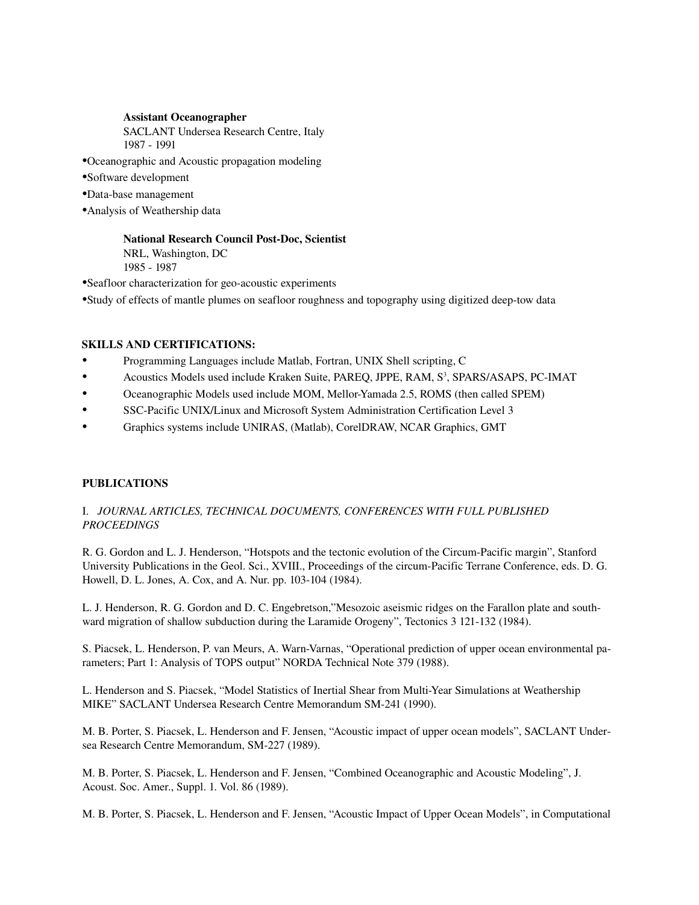## Assistant Oceanographer

SACLANT Undersea Research Centre, Italy 1987 1991

- •Oceanographic and Acoustic propagation modeling
- •Software development
- •Data-base management
- •Analysis of Weathership data

# National Research Council Post-Doc, Scientist

NRL, Washington, DC 1985 1987

•Seafloor characterization for geo-acoustic experiments

•Study of effects of mantle plumes on seafloor roughness and topography using digitized deep-tow data

# SKILLS AND CERTIFICATIONS:

- Programming Languages include Matlab, Fortran, UNIX Shell scripting, C
- Acoustics Models used include Kraken Suite, PAREQ, JPPE, RAM, S<sup>3</sup>, SPARS/ASAPS, PC-IMAT
- Oceanographic Models used include MOM, MellorYamada 2.5, ROMS (then called SPEM)
- SSC-Pacific UNIX/Linux and Microsoft System Administration Certification Level 3
- Graphics systems include UNIRAS, (Matlab), CorelDRAW, NCAR Graphics, GMT

# PUBLICATIONS

# I.  *JOURNAL ARTICLES, TECHNICAL DOCUMENTS, CONFERENCES WITH FULL PUBLISHED PROCEEDINGS*

R. G. Gordon and L. J. Henderson, "Hotspots and the tectonic evolution of the Circum-Pacific margin", Stanford University Publications in the Geol. Sci., XVIII., Proceedings of the circum-Pacific Terrane Conference, eds. D. G. Howell, D. L. Jones, A. Cox, and A. Nur. pp. 103-104 (1984).

L. J. Henderson, R. G. Gordon and D. C. Engebretson,"Mesozoic aseismic ridges on the Farallon plate and southward migration of shallow subduction during the Laramide Orogeny", Tectonics 3 121-132 (1984).

S. Piacsek, L. Henderson, P. van Meurs, A. Warn-Varnas, "Operational prediction of upper ocean environmental parameters; Part 1: Analysis of TOPS output" NORDA Technical Note 379 (1988).

L. Henderson and S. Piacsek, "Model Statistics of Inertial Shear from Multi-Year Simulations at Weathership MIKE" SACLANT Undersea Research Centre Memorandum SM241 (1990).

M. B. Porter, S. Piacsek, L. Henderson and F. Jensen, "Acoustic impact of upper ocean models", SACLANT Undersea Research Centre Memorandum, SM-227 (1989).

M. B. Porter, S. Piacsek, L. Henderson and F. Jensen, "Combined Oceanographic and Acoustic Modeling", J. Acoust. Soc. Amer., Suppl. 1. Vol. 86 (1989).

M. B. Porter, S. Piacsek, L. Henderson and F. Jensen, "Acoustic Impact of Upper Ocean Models", in Computational